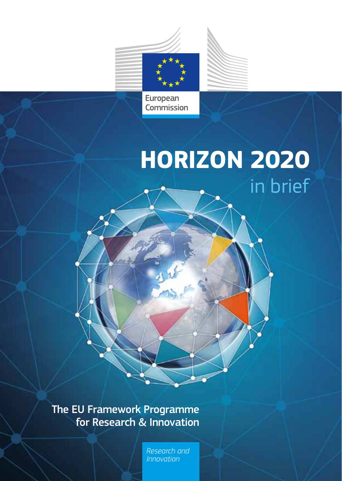

Commission

**HORIZON 2020** in brief

The EU Framework Programme for Research & Innovation

> *Research and Innovation*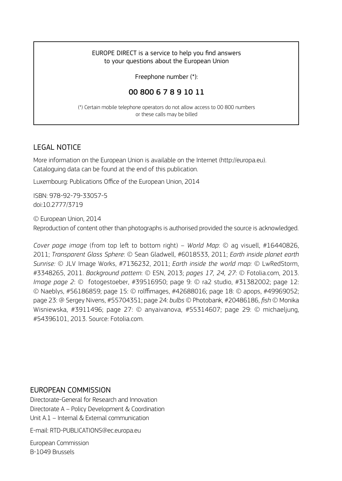## EUROPE DIRECT is a service to help you find answers to your questions about the European Union

Freephone number (\*):

## 00 800 6 7 8 9 10 11

(\*) Certain mobile telephone operators do not allow access to 00 800 numbers or these calls may be billed

## LEGAL NOTICE

More information on the European Union is available on the Internet (http://europa.eu). Cataloguing data can be found at the end of this publication.

Luxembourg: Publications Office of the European Union, 2014

ISBN: 978-92-79-33057-5 doi:10.2777/3719

© European Union, 2014 Reproduction of content other than photographs is authorised provided the source is acknowledged.

*Cover page image* (from top left to bottom right) *– World Map*: © ag visuell, #16440826, 2011; *Transparent Glass Sphere*: © Sean Gladwell, #6018533, 2011; *Earth inside planet earth Sunrise:* © JLV Image Works, #7136232, 2011; *Earth inside the world map:* © LwRedStorm, #3348265, 2011. *Background pattern*: © ESN, 2013; *pages 17, 24, 27*: © Fotolia.com, 2013. *Image page 2*: © fotogestoeber, #39516950; page 9: © ra2 studio, #31382002; page 12: © Naeblys, #56186859; page 15: © rolffimages, #42688016; page 18: © apops, #49969052; page 23: @ Sergey Nivens, #55704351; page 24: *bulbs* © Photobank, #20486186, *fish* © Monika Wisniewska, #3911496; page 27: © anyaivanova, #55314607; page 29: © michaeljung, #54396101, 2013. Source: Fotolia.com.

## EUROPEAN COMMISSION

Directorate-General for Research and Innovation Directorate A – Policy Development & Coordination Unit A.1 – Internal & External communication

E-mail: RTD-PUBLICATIONS@ec.europa.eu

European Commission B-1049 Brussels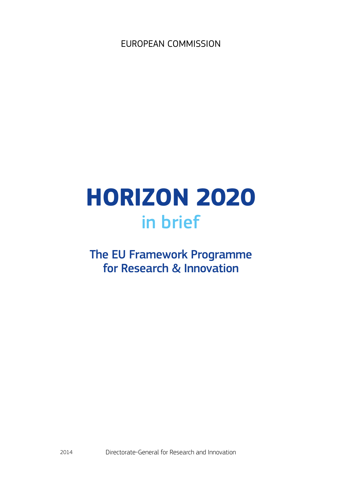EUROPEAN COMMISSION

## **HORIZON 2020** in brief

## The EU Framework Programme for Research & Innovation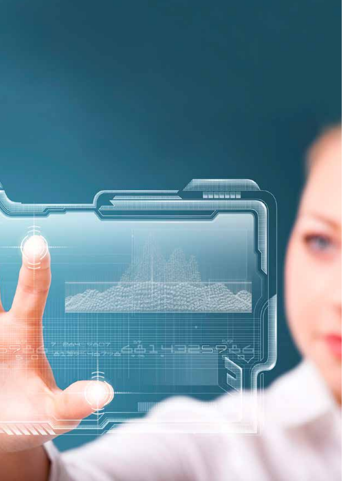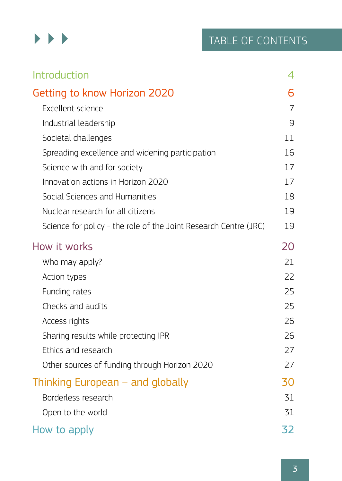

| Introduction                                                     | 4  |
|------------------------------------------------------------------|----|
| Getting to know Horizon 2020                                     | 6  |
| Excellent science                                                | 7  |
| Industrial leadership                                            | 9  |
| Societal challenges                                              | 11 |
| Spreading excellence and widening participation                  | 16 |
| Science with and for society                                     | 17 |
| Innovation actions in Horizon 2020                               | 17 |
| Social Sciences and Humanities                                   | 18 |
| Nuclear research for all citizens                                | 19 |
| Science for policy - the role of the Joint Research Centre (JRC) | 19 |
| How it works                                                     | 20 |
| Who may apply?                                                   | 21 |
| Action types                                                     | 22 |
| Funding rates                                                    | 25 |
| Checks and audits                                                | 25 |
| Access rights                                                    | 26 |
| Sharing results while protecting IPR                             | 26 |
| Ethics and research                                              | 27 |
| Other sources of funding through Horizon 2020                    | 27 |
| Thinking European – and globally                                 | 30 |
| Borderless research                                              | 31 |
| Open to the world                                                | 31 |
| How to apply                                                     | 32 |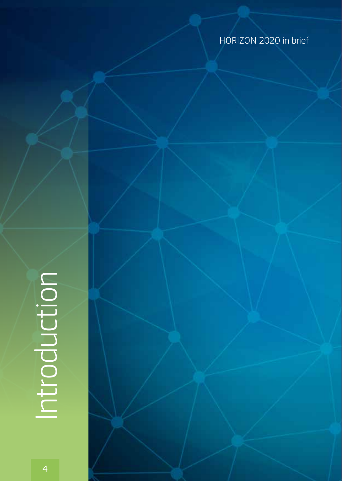## Introduction Introduction

HORIZON 2020 in brief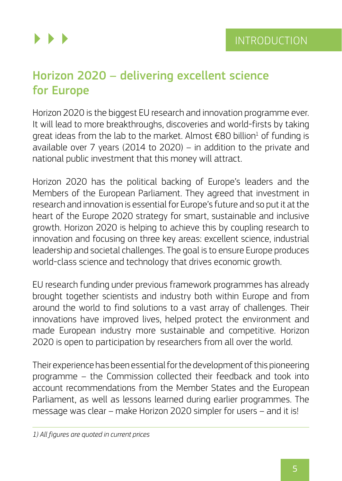## Horizon 2020 – delivering excellent science for Europe

Horizon 2020 is the biggest EU research and innovation programme ever. It will lead to more breakthroughs, discoveries and world-firsts by taking great ideas from the lab to the market. Almost €80 billion<del>'</del> of funding is available over 7 years (2014 to 2020) – in addition to the private and national public investment that this money will attract.

Horizon 2020 has the political backing of Europe's leaders and the Members of the European Parliament. They agreed that investment in research and innovation is essential for Europe's future and so put it at the heart of the Europe 2020 strategy for smart, sustainable and inclusive growth. Horizon 2020 is helping to achieve this by coupling research to innovation and focusing on three key areas: excellent science, industrial leadership and societal challenges. The goal is to ensure Europe produces world-class science and technology that drives economic growth.

EU research funding under previous framework programmes has already brought together scientists and industry both within Europe and from around the world to find solutions to a vast array of challenges. Their innovations have improved lives, helped protect the environment and made European industry more sustainable and competitive. Horizon 2020 is open to participation by researchers from all over the world.

Their experience has been essential for the development of this pioneering programme – the Commission collected their feedback and took into account recommendations from the Member States and the European Parliament, as well as lessons learned during earlier programmes. The message was clear – make Horizon 2020 simpler for users – and it is!

*<sup>1)</sup> All figures are quoted in current prices*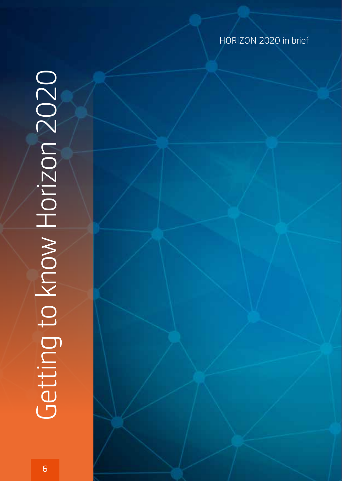# Getting to know Horizon 2020 Getting to know Horizon 2020

HORIZON 2020 in brief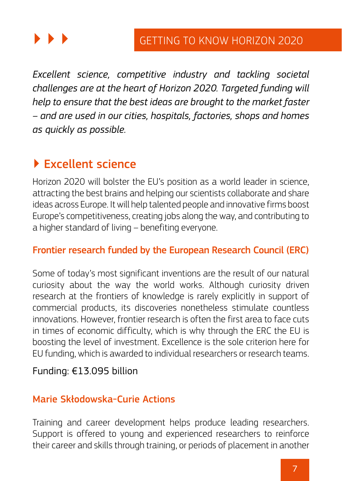*Excellent science, competitive industry and tackling societal challenges are at the heart of Horizon 2020. Targeted funding will help to ensure that the best ideas are brought to the market faster – and are used in our cities, hospitals, factories, shops and homes as quickly as possible.*

## ▶ Excellent science

Horizon 2020 will bolster the EU's position as a world leader in science, attracting the best brains and helping our scientists collaborate and share ideas across Europe. It will help talented people and innovative firms boost Europe's competitiveness, creating jobs along the way, and contributing to a higher standard of living – benefiting everyone.

## Frontier research funded by the European Research Council (ERC)

Some of today's most significant inventions are the result of our natural curiosity about the way the world works. Although curiosity driven research at the frontiers of knowledge is rarely explicitly in support of commercial products, its discoveries nonetheless stimulate countless innovations. However, frontier research is often the first area to face cuts in times of economic difficulty, which is why through the ERC the EU is boosting the level of investment. Excellence is the sole criterion here for EU funding, which is awarded to individual researchers or research teams.

## Funding: €13.095 billion

## Marie Skłodowska-Curie Actions

Training and career development helps produce leading researchers. Support is offered to young and experienced researchers to reinforce their career and skills through training, or periods of placement in another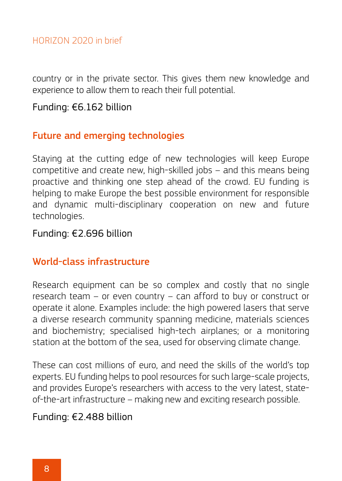country or in the private sector. This gives them new knowledge and experience to allow them to reach their full potential.

## Funding: €6.162 billion

## Future and emerging technologies

Staying at the cutting edge of new technologies will keep Europe competitive and create new, high-skilled jobs – and this means being proactive and thinking one step ahead of the crowd. EU funding is helping to make Europe the best possible environment for responsible and dynamic multi-disciplinary cooperation on new and future technologies.

## Funding: €2.696 billion

## World-class infrastructure

Research equipment can be so complex and costly that no single research team – or even country – can afford to buy or construct or operate it alone. Examples include: the high powered lasers that serve a diverse research community spanning medicine, materials sciences and biochemistry; specialised high-tech airplanes; or a monitoring station at the bottom of the sea, used for observing climate change.

These can cost millions of euro, and need the skills of the world's top experts. EU funding helps to pool resources for such large-scale projects, and provides Europe's researchers with access to the very latest, stateof-the-art infrastructure – making new and exciting research possible.

## Funding: €2.488 billion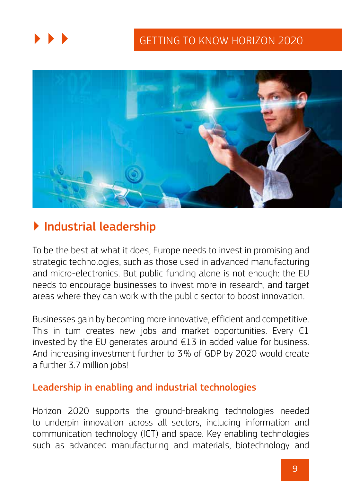



## ▶ Industrial leadership

To be the best at what it does, Europe needs to invest in promising and strategic technologies, such as those used in advanced manufacturing and micro-electronics. But public funding alone is not enough: the EU needs to encourage businesses to invest more in research, and target areas where they can work with the public sector to boost innovation.

Businesses gain by becoming more innovative, efficient and competitive. This in turn creates new jobs and market opportunities. Every  $\epsilon_1$ invested by the EU generates around €13 in added value for business. And increasing investment further to 3% of GDP by 2020 would create a further 3.7 million jobs!

## Leadership in enabling and industrial technologies

Horizon 2020 supports the ground-breaking technologies needed to underpin innovation across all sectors, including information and communication technology (ICT) and space. Key enabling technologies such as advanced manufacturing and materials, biotechnology and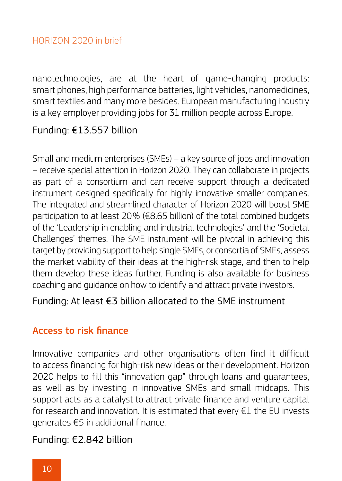nanotechnologies, are at the heart of game-changing products: smart phones, high performance batteries, light vehicles, nanomedicines, smart textiles and many more besides. European manufacturing industry is a key employer providing jobs for 31 million people across Europe.

## Funding: €13.557 billion

Small and medium enterprises (SMEs) – a key source of jobs and innovation – receive special attention in Horizon 2020. They can collaborate in projects as part of a consortium and can receive support through a dedicated instrument designed specifically for highly innovative smaller companies. The integrated and streamlined character of Horizon 2020 will boost SME participation to at least 20% (€8.65 billion) of the total combined budgets of the 'Leadership in enabling and industrial technologies' and the 'Societal Challenges' themes. The SME instrument will be pivotal in achieving this target by providing support to help single SMEs, or consortia of SMEs, assess the market viability of their ideas at the high-risk stage, and then to help them develop these ideas further. Funding is also available for business coaching and guidance on how to identify and attract private investors.

## Funding: At least €3 billion allocated to the SME instrument

## Access to risk finance

Innovative companies and other organisations often find it difficult to access financing for high-risk new ideas or their development. Horizon 2020 helps to fill this "innovation gap" through loans and guarantees. as well as by investing in innovative SMEs and small midcaps. This support acts as a catalyst to attract private finance and venture capital for research and innovation. It is estimated that every  $E1$  the EU invests generates €5 in additional finance.

## Funding: €2.842 billion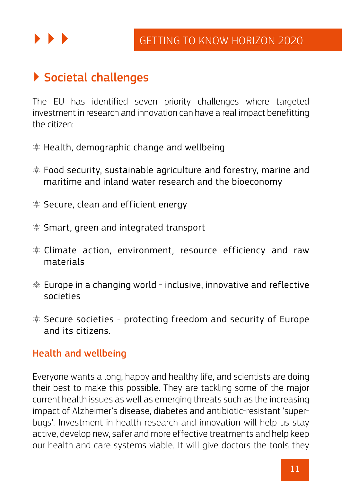## ▶ Societal challenges

The EU has identified seven priority challenges where targeted investment in research and innovation can have a real impact benefitting the citizen:

- $*$  Health, demographic change and wellbeing
- X Food security, sustainable agriculture and forestry, marine and maritime and inland water research and the bioeconomy
- X Secure, clean and efficient energy
- X Smart, green and integrated transport
- $*$  Climate action, environment, resource efficiency and raw materials
- $*$  Europe in a changing world inclusive, innovative and reflective societies
- X Secure societies protecting freedom and security of Europe and its citizens.

## Health and wellbeing

Everyone wants a long, happy and healthy life, and scientists are doing their best to make this possible. They are tackling some of the major current health issues as well as emerging threats such as the increasing impact of Alzheimer's disease, diabetes and antibiotic-resistant 'superbugs'. Investment in health research and innovation will help us stay active, develop new, safer and more effective treatments and help keep our health and care systems viable. It will give doctors the tools they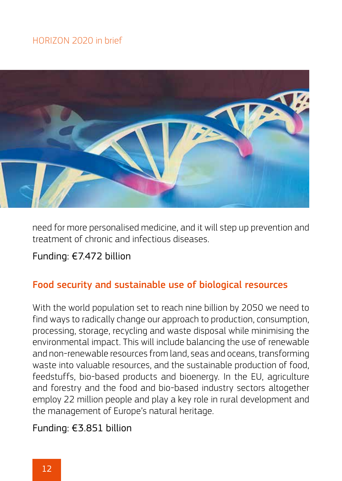## Horizon 2020 in brief



need for more personalised medicine, and it will step up prevention and treatment of chronic and infectious diseases.

Funding: €7.472 billion

## Food security and sustainable use of biological resources

With the world population set to reach nine billion by 2050 we need to find ways to radically change our approach to production, consumption, processing, storage, recycling and waste disposal while minimising the environmental impact. This will include balancing the use of renewable and non-renewable resources from land, seas and oceans, transforming waste into valuable resources, and the sustainable production of food, feedstuffs, bio-based products and bioenergy. In the EU, agriculture and forestry and the food and bio-based industry sectors altogether employ 22 million people and play a key role in rural development and the management of Europe's natural heritage.

## Funding: €3.851 billion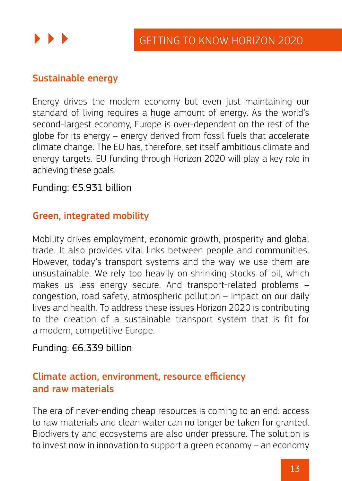

## Sustainable energy

Energy drives the modern economy but even just maintaining our standard of living requires a huge amount of energy. As the world's second-largest economy. Furope is over-dependent on the rest of the globe for its energy – energy derived from fossil fuels that accelerate climate change. The EU has, therefore, set itself ambitious climate and energy targets. EU funding through Horizon 2020 will play a key role in achieving these goals.

## Funding: €5.931 billion

## Green, integrated mobility

Mobility drives employment, economic growth, prosperity and global trade. It also provides vital links between people and communities. However, today's transport systems and the way we use them are unsustainable. We rely too heavily on shrinking stocks of oil, which makes us less energy secure. And transport-related problems – congestion, road safety, atmospheric pollution – impact on our daily lives and health. To address these issues Horizon 2020 is contributing to the creation of a sustainable transport system that is fit for a modern, competitive Europe.

## Funding: €6.339 billion

## Climate action, environment, resource efficiency and raw materials

The era of never-ending cheap resources is coming to an end: access to raw materials and clean water can no longer be taken for granted. Biodiversity and ecosystems are also under pressure. The solution is to invest now in innovation to support a green economy – an economy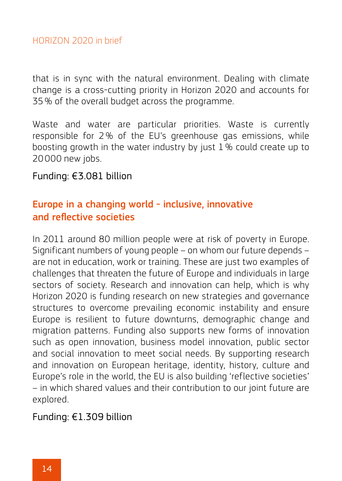that is in sync with the natural environment. Dealing with climate change is a cross-cutting priority in Horizon 2020 and accounts for 35% of the overall budget across the programme.

Waste and water are particular priorities. Waste is currently responsible for 2% of the EU's greenhouse gas emissions, while boosting growth in the water industry by just 1% could create up to 20 000 new jobs.

## Funding: €3.081 billion

## Europe in a changing world - inclusive, innovative and reflective societies

In 2011 around 80 million people were at risk of poverty in Europe. Significant numbers of young people – on whom our future depends – are not in education, work or training. These are just two examples of challenges that threaten the future of Europe and individuals in large sectors of society. Research and innovation can help, which is why Horizon 2020 is funding research on new strategies and governance structures to overcome prevailing economic instability and ensure Europe is resilient to future downturns, demographic change and migration patterns. Funding also supports new forms of innovation such as open innovation, business model innovation, public sector and social innovation to meet social needs. By supporting research and innovation on European heritage, identity, history, culture and Europe's role in the world, the EU is also building 'reflective societies' – in which shared values and their contribution to our joint future are explored.

## Funding: €1.309 billion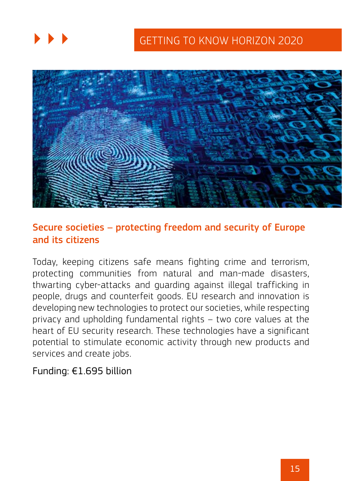



## Secure societies – protecting freedom and security of Europe and its citizens

Today, keeping citizens safe means fighting crime and terrorism, protecting communities from natural and man-made disasters, thwarting cyber-attacks and guarding against illegal trafficking in people, drugs and counterfeit goods. EU research and innovation is developing new technologies to protect our societies, while respecting privacy and upholding fundamental rights – two core values at the heart of EU security research. These technologies have a significant potential to stimulate economic activity through new products and services and create jobs.

## Funding: €1.695 billion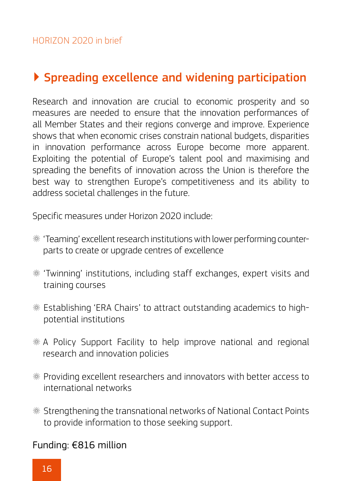## Horizon 2020 in brief

## ▶ Spreading excellence and widening participation

Research and innovation are crucial to economic prosperity and so measures are needed to ensure that the innovation performances of all Member States and their regions converge and improve. Experience shows that when economic crises constrain national budgets, disparities in innovation performance across Europe become more apparent. Exploiting the potential of Europe's talent pool and maximising and spreading the benefits of innovation across the Union is therefore the best way to strengthen Europe's competitiveness and its ability to address societal challenges in the future.

Specific measures under Horizon 2020 include:

- $*$  'Teaming' excellent research institutions with lower performing counterparts to create or upgrade centres of excellence
- X 'Twinning' institutions, including staff exchanges, expert visits and training courses
- X Establishing 'ERA Chairs' to attract outstanding academics to highpotential institutions
- X A Policy Support Facility to help improve national and regional research and innovation policies
- X Providing excellent researchers and innovators with better access to international networks
- **X** Strengthening the transnational networks of National Contact Points to provide information to those seeking support.

## Funding: €816 million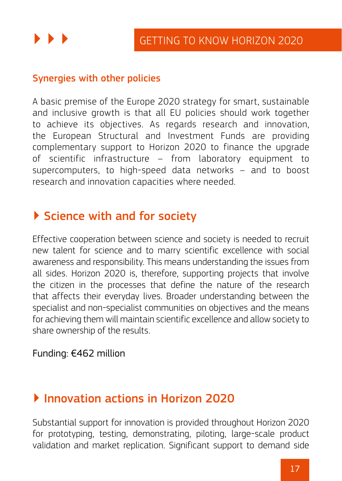## Synergies with other policies

A basic premise of the Europe 2020 strategy for smart, sustainable and inclusive growth is that all EU policies should work together to achieve its objectives. As regards research and innovation, the European Structural and Investment Funds are providing complementary support to Horizon 2020 to finance the upgrade of scientific infrastructure – from laboratory equipment to supercomputers, to high-speed data networks – and to boost research and innovation capacities where needed.

## ▶ Science with and for society

Effective cooperation between science and society is needed to recruit new talent for science and to marry scientific excellence with social awareness and responsibility. This means understanding the issues from all sides. Horizon 2020 is, therefore, supporting projects that involve the citizen in the processes that define the nature of the research that affects their everyday lives. Broader understanding between the specialist and non-specialist communities on objectives and the means for achieving them will maintain scientific excellence and allow society to share ownership of the results.

## Funding: €462 million

## ▶ Innovation actions in Horizon 2020

Substantial support for innovation is provided throughout Horizon 2020 for prototyping, testing, demonstrating, piloting, large-scale product validation and market replication. Significant support to demand side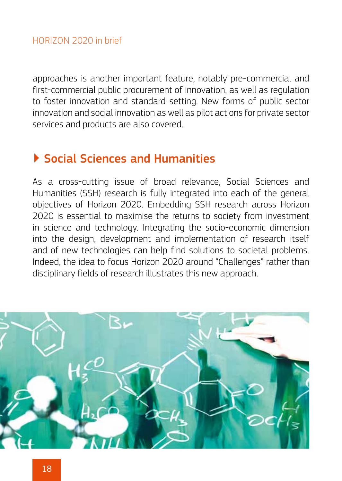approaches is another important feature, notably pre-commercial and first-commercial public procurement of innovation, as well as regulation to foster innovation and standard-setting. New forms of public sector innovation and social innovation as well as pilot actions for private sector services and products are also covered.

## ▶ Social Sciences and Humanities

As a cross-cutting issue of broad relevance, Social Sciences and Humanities (SSH) research is fully integrated into each of the general objectives of Horizon 2020. Embedding SSH research across Horizon 2020 is essential to maximise the returns to society from investment in science and technology. Integrating the socio-economic dimension into the design, development and implementation of research itself and of new technologies can help find solutions to societal problems. Indeed, the idea to focus Horizon 2020 around "Challenges" rather than disciplinary fields of research illustrates this new approach.

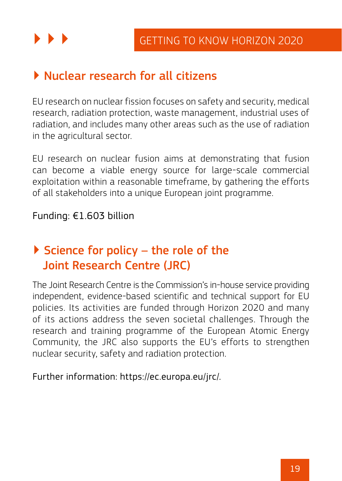## ▶ Nuclear research for all citizens

EU research on nuclear fission focuses on safety and security, medical research, radiation protection, waste management, industrial uses of radiation, and includes many other areas such as the use of radiation in the agricultural sector.

EU research on nuclear fusion aims at demonstrating that fusion can become a viable energy source for large-scale commercial exploitation within a reasonable timeframe, by gathering the efforts of all stakeholders into a unique European joint programme.

## Funding: €1.603 billion

## ▶ Science for policy – the role of the Joint Research Centre (JRC)

The Joint Research Centre is the Commission's in-house service providing independent, evidence-based scientific and technical support for EU policies. Its activities are funded through Horizon 2020 and many of its actions address the seven societal challenges. Through the research and training programme of the European Atomic Energy Community, the JRC also supports the EU's efforts to strengthen nuclear security, safety and radiation protection.

Further information: https://ec.europa.eu/jrc/.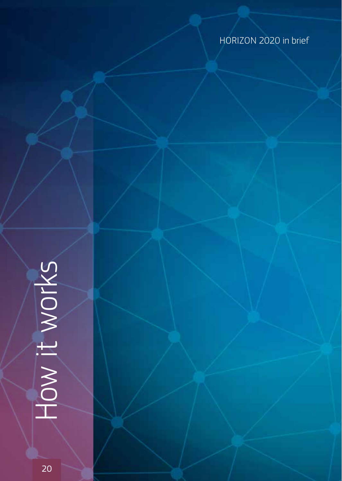## HORIZON 2020 in brief

## HOW it works a How it works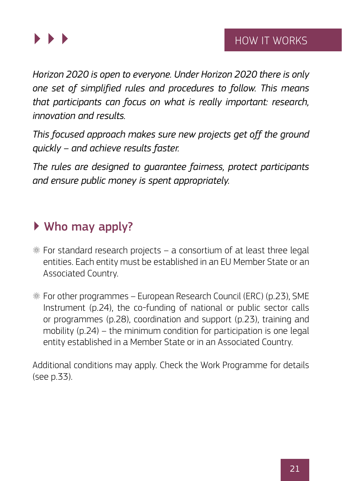

*Horizon 2020 is open to everyone. Under Horizon 2020 there is only one set of simplified rules and procedures to follow. This means that participants can focus on what is really important: research, innovation and results.*

*This focused approach makes sure new projects get off the ground quickly – and achieve results faster.*

*The rules are designed to guarantee fairness, protect participants and ensure public money is spent appropriately.*

## ▶ Who may apply?

- $*$  For standard research projects a consortium of at least three legal entities. Each entity must be established in an EU Member State or an Associated Country.
- X For other programmes European Research Council (ERC) (p.23), SME Instrument (p.24), the co-funding of national or public sector calls or programmes (p.28), coordination and support (p.23), training and mobility (p.24) – the minimum condition for participation is one legal entity established in a Member State or in an Associated Country.

Additional conditions may apply. Check the Work Programme for details (see p.33).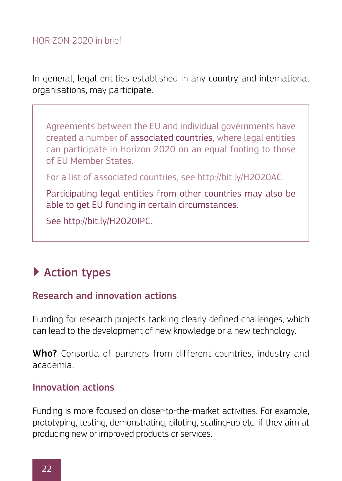## Horizon 2020 in brief

In general, legal entities established in any country and international organisations, may participate.

Agreements between the EU and individual governments have created a number of associated countries, where legal entities can participate in Horizon 2020 on an equal footing to those of EU Member States.

For a list of associated countries, see http://bit.ly/H2020AC.

Participating legal entities from other countries may also be able to get EU funding in certain circumstances.

See http://bit.ly/H2020IPC.

## ▶ Action types

## Research and innovation actions

Funding for research projects tackling clearly defined challenges, which can lead to the development of new knowledge or a new technology.

Who? Consortia of partners from different countries, industry and academia.

## Innovation actions

Funding is more focused on closer-to-the-market activities. For example, prototyping, testing, demonstrating, piloting, scaling-up etc. if they aim at producing new or improved products or services.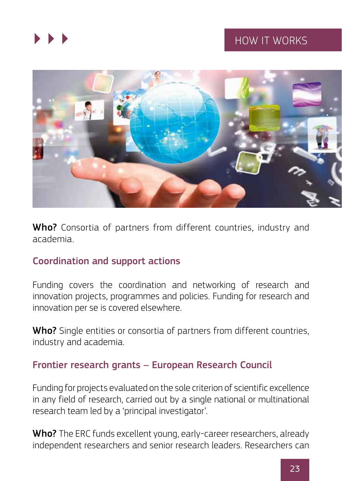## HOW IT WORKS



Who? Consortia of partners from different countries, industry and academia.

## Coordination and support actions

Funding covers the coordination and networking of research and innovation projects, programmes and policies. Funding for research and innovation per se is covered elsewhere.

Who? Single entities or consortia of partners from different countries. industry and academia.

## Frontier research grants – European Research Council

Funding for projects evaluated on the sole criterion of scientific excellence in any field of research, carried out by a single national or multinational research team led by a 'principal investigator'.

Who? The ERC funds excellent young, early-career researchers, already independent researchers and senior research leaders. Researchers can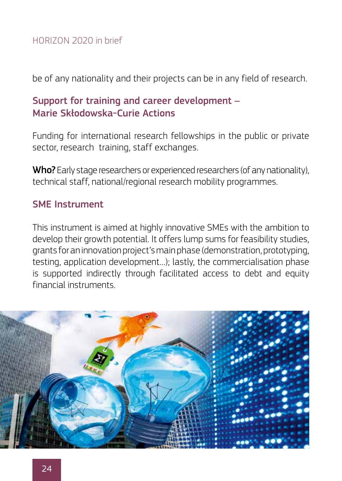## Horizon 2020 in brief

be of any nationality and their projects can be in any field of research.

## Support for training and career development – Marie Skłodowska-Curie Actions

Funding for international research fellowships in the public or private sector, research, training, staff exchanges.

Who? Early stage researchers or experienced researchers (of any nationality). technical staff, national/regional research mobility programmes.

## SME Instrument

This instrument is aimed at highly innovative SMEs with the ambition to develop their growth potential. It offers lump sums for feasibility studies, grants for an innovation project's main phase (demonstration, prototyping, testing, application development...); lastly, the commercialisation phase is supported indirectly through facilitated access to debt and equity financial instruments.

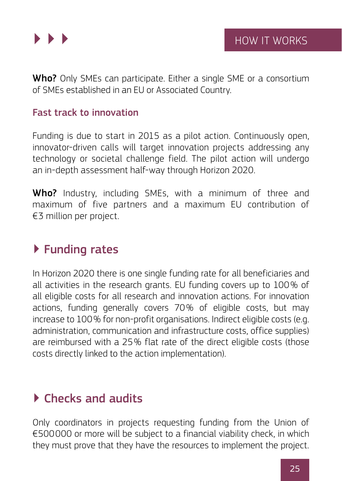

Who? Only SMEs can participate. Either a single SME or a consortium of SMEs established in an EU or Associated Country.

## Fast track to innovation

Funding is due to start in 2015 as a pilot action. Continuously open, innovator-driven calls will target innovation projects addressing any technology or societal challenge field. The pilot action will undergo an in-depth assessment half-way through Horizon 2020.

Who? Industry, including SMEs, with a minimum of three and maximum of five partners and a maximum EU contribution of €3 million per project.

## ▶ Funding rates

In Horizon 2020 there is one single funding rate for all beneficiaries and all activities in the research grants. EU funding covers up to 100% of all eligible costs for all research and innovation actions. For innovation actions, funding generally covers 70% of eligible costs, but may increase to 100% for non-profit organisations. Indirect eligible costs (e.g. administration, communication and infrastructure costs, office supplies) are reimbursed with a 25% flat rate of the direct eligible costs (those costs directly linked to the action implementation).

## ▶ Checks and audits

Only coordinators in projects requesting funding from the Union of €500000 or more will be subject to a financial viability check, in which they must prove that they have the resources to implement the project.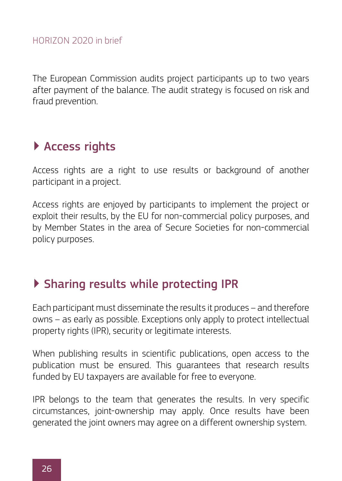The European Commission audits project participants up to two years after payment of the balance. The audit strategy is focused on risk and fraud prevention.

## ▶ Access rights

Access rights are a right to use results or background of another participant in a project.

Access rights are enjoyed by participants to implement the project or exploit their results, by the EU for non-commercial policy purposes, and by Member States in the area of Secure Societies for non-commercial policy purposes.

## ▶ Sharing results while protecting IPR

Each participant must disseminate the results it produces – and therefore owns – as early as possible. Exceptions only apply to protect intellectual property rights (IPR), security or legitimate interests.

When publishing results in scientific publications, open access to the publication must be ensured. This guarantees that research results funded by EU taxpayers are available for free to everyone.

IPR belongs to the team that generates the results. In very specific circumstances, joint-ownership may apply. Once results have been generated the joint owners may agree on a different ownership system.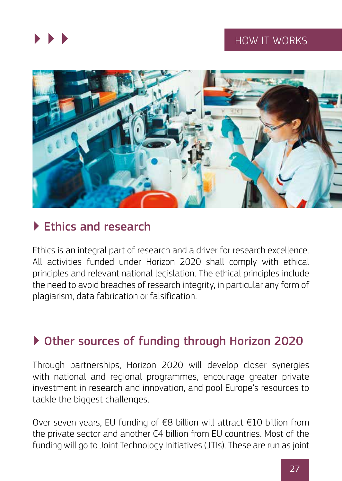## HOW IT WORKS





## ▶ Ethics and research

Ethics is an integral part of research and a driver for research excellence. All activities funded under Horizon 2020 shall comply with ethical principles and relevant national legislation. The ethical principles include the need to avoid breaches of research integrity, in particular any form of plagiarism, data fabrication or falsification.

## ▶ Other sources of funding through Horizon 2020

Through partnerships, Horizon 2020 will develop closer synergies with national and regional programmes, encourage greater private investment in research and innovation, and pool Europe's resources to tackle the biggest challenges.

Over seven years, EU funding of €8 billion will attract €10 billion from the private sector and another €4 billion from EU countries. Most of the funding will go to Joint Technology Initiatives (JTIs). These are run as joint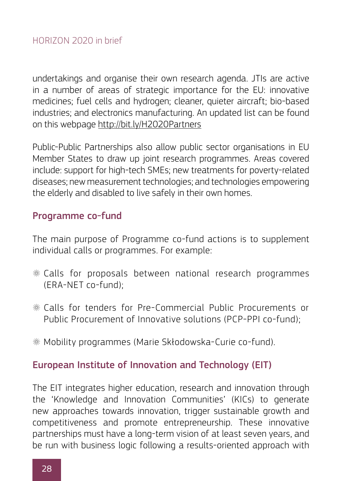undertakings and organise their own research agenda. JTIs are active in a number of areas of strategic importance for the EU: innovative medicines; fuel cells and hydrogen; cleaner, quieter aircraft; bio-based industries; and electronics manufacturing. An updated list can be found on this webpage http://bit.ly/H2020Partners

Public-Public Partnerships also allow public sector organisations in EU Member States to draw up joint research programmes. Areas covered include: support for high-tech SMEs; new treatments for poverty-related diseases; new measurement technologies; and technologies empowering the elderly and disabled to live safely in their own homes.

## Programme co-fund

The main purpose of Programme co-fund actions is to supplement individual calls or programmes. For example:

- X Calls for proposals between national research programmes (ERA-NET co-fund);
- **K** Calls for tenders for Pre-Commercial Public Procurements or Public Procurement of Innovative solutions (PCP-PPI co-fund);
- X Mobility programmes (Marie Skłodowska-Curie co-fund).

## European Institute of Innovation and Technology (EIT)

The EIT integrates higher education, research and innovation through the 'Knowledge and Innovation Communities' (KICs) to generate new approaches towards innovation, trigger sustainable growth and competitiveness and promote entrepreneurship. These innovative partnerships must have a long-term vision of at least seven years, and be run with business logic following a results-oriented approach with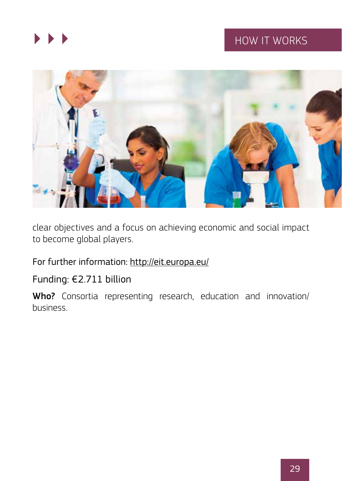## **HOW IT WORKS**



clear objectives and a focus on achieving economic and social impact to become global players.

## For further information: http://eit.europa.eu/

## Funding: €2.711 billion

Who? Consortia representing research, education and innovation/ business.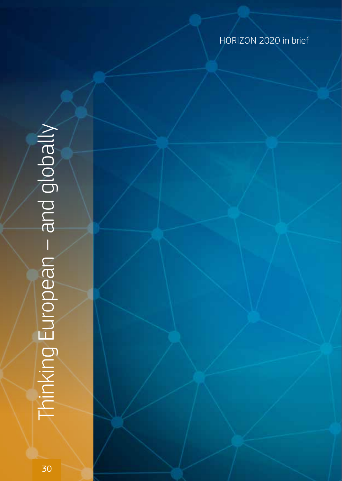# Thinking European - and globally  $\mathbb S$  Thinking European – and globally

HORIZON 2020 in brief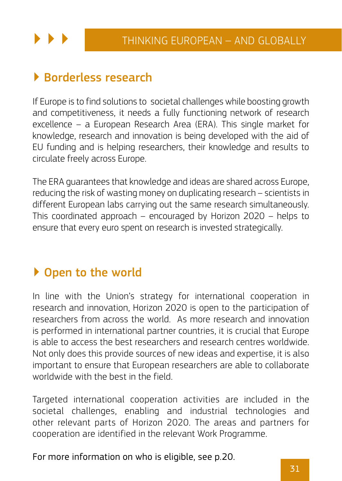

## ▶ Borderless research

If Europe is to find solutions to societal challenges while boosting growth and competitiveness, it needs a fully functioning network of research excellence – a Furopean Research Area (FRA). This single market for knowledge, research and innovation is being developed with the aid of EU funding and is helping researchers, their knowledge and results to circulate freely across Europe.

The ERA guarantees that knowledge and ideas are shared across Europe, reducing the risk of wasting money on duplicating research – scientists in different European labs carrying out the same research simultaneously. This coordinated approach – encouraged by Horizon 2020 – helps to ensure that every euro spent on research is invested strategically.

## ▶ Open to the world

In line with the Union's strategy for international cooperation in research and innovation, Horizon 2020 is open to the participation of researchers from across the world. As more research and innovation is performed in international partner countries, it is crucial that Europe is able to access the best researchers and research centres worldwide. Not only does this provide sources of new ideas and expertise, it is also important to ensure that European researchers are able to collaborate worldwide with the best in the field.

Targeted international cooperation activities are included in the societal challenges, enabling and industrial technologies and other relevant parts of Horizon 2020. The areas and partners for cooperation are identified in the relevant Work Programme.

For more information on who is eligible, see p.20.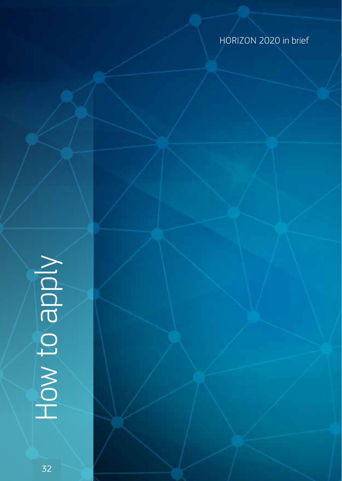## How to apply  $\forall$  How to apply

Horizon 2020 in brief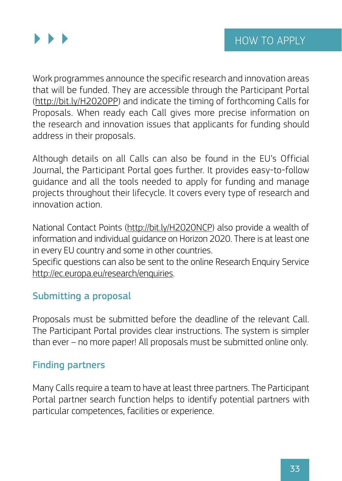

Work programmes announce the specific research and innovation areas that will be funded. They are accessible through the Participant Portal (http://bit.ly/H2020PP) and indicate the timing of forthcoming Calls for Proposals. When ready each Call gives more precise information on the research and innovation issues that applicants for funding should address in their proposals.

Although details on all Calls can also be found in the EU's Official Journal, the Participant Portal goes further. It provides easy-to-follow guidance and all the tools needed to apply for funding and manage projects throughout their lifecycle. It covers every type of research and innovation action.

National Contact Points (http://bit.ly/H2020NCP) also provide a wealth of information and individual guidance on Horizon 2020. There is at least one in every EU country and some in other countries.

Specific questions can also be sent to the online Research Enquiry Service http://ec.europa.eu/research/enquiries.

## Submitting a proposal

Proposals must be submitted before the deadline of the relevant Call. The Participant Portal provides clear instructions. The system is simpler than ever – no more paper! All proposals must be submitted online only.

## Finding partners

Many Calls require a team to have at least three partners. The Participant Portal partner search function helps to identify potential partners with particular competences, facilities or experience.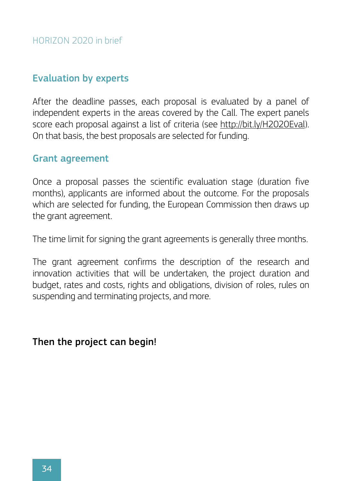Horizon 2020 in brief

## Evaluation by experts

After the deadline passes, each proposal is evaluated by a panel of independent experts in the areas covered by the Call. The expert panels score each proposal against a list of criteria (see http://bit.ly/H2020Eval). On that basis, the best proposals are selected for funding.

## Grant agreement

Once a proposal passes the scientific evaluation stage (duration five months), applicants are informed about the outcome. For the proposals which are selected for funding, the European Commission then draws up the grant agreement.

The time limit for signing the grant agreements is generally three months.

The grant agreement confirms the description of the research and innovation activities that will be undertaken, the project duration and budget, rates and costs, rights and obligations, division of roles, rules on suspending and terminating projects, and more.

Then the project can begin!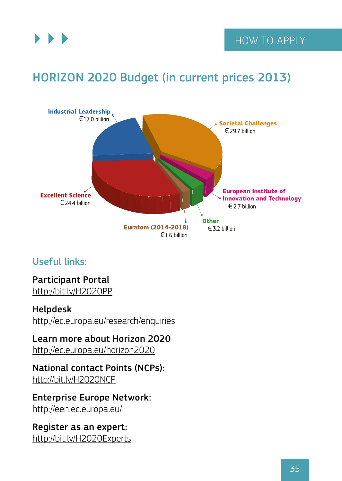

HOW TO APPLY

## HORIZON 2020 Budget (in current prices 2013)



## Useful links:

## Participant Portal

http://bit.ly/H2020PP

## Helpdesk

http://ec.europa.eu/research/enquiries

Learn more about Horizon 2020 http://ec.europa.eu/horizon2020

National contact Points (NCPs): http://bit.ly/H2020NCP

Enterprise Europe Network: http://een.ec.europa.eu/

Register as an expert: http://bit.ly/H2020Experts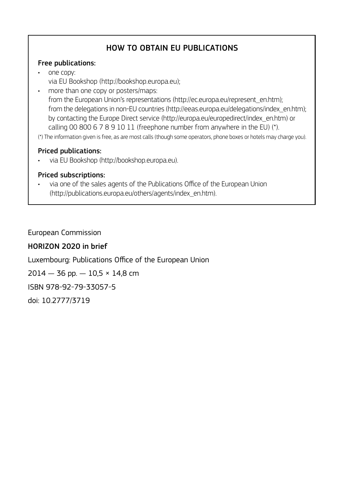## HOW TO OBTAIN EU PUBLICATIONS

## Free publications:

- one copy: via EU Bookshop (http://bookshop.europa.eu);
- more than one copy or posters/maps: from the European Union's representations (http://ec.europa.eu/represent\_en.htm); from the delegations in non-EU countries (http://eeas.europa.eu/delegations/index\_en.htm); by contacting the Europe Direct service (http://europa.eu/europedirect/index\_en.htm) or calling 00 800 6 7 8 9 10 11 (freephone number from anywhere in the EU) (\*).

(\*) The information given is free, as are most calls (though some operators, phone boxes or hotels may charge you).

## Priced publications:

• via EU Bookshop (http://bookshop.europa.eu).

## Priced subscriptions:

• via one of the sales agents of the Publications Office of the European Union (http://publications.europa.eu/others/agents/index\_en.htm).

European Commission

## HORIZON 2020 in brief

Luxembourg: Publications Office of the European Union

 $2014 - 36$  pp.  $- 10.5 \times 14.8$  cm

ISBN 978-92-79-33057-5

doi: 10.2777/3719